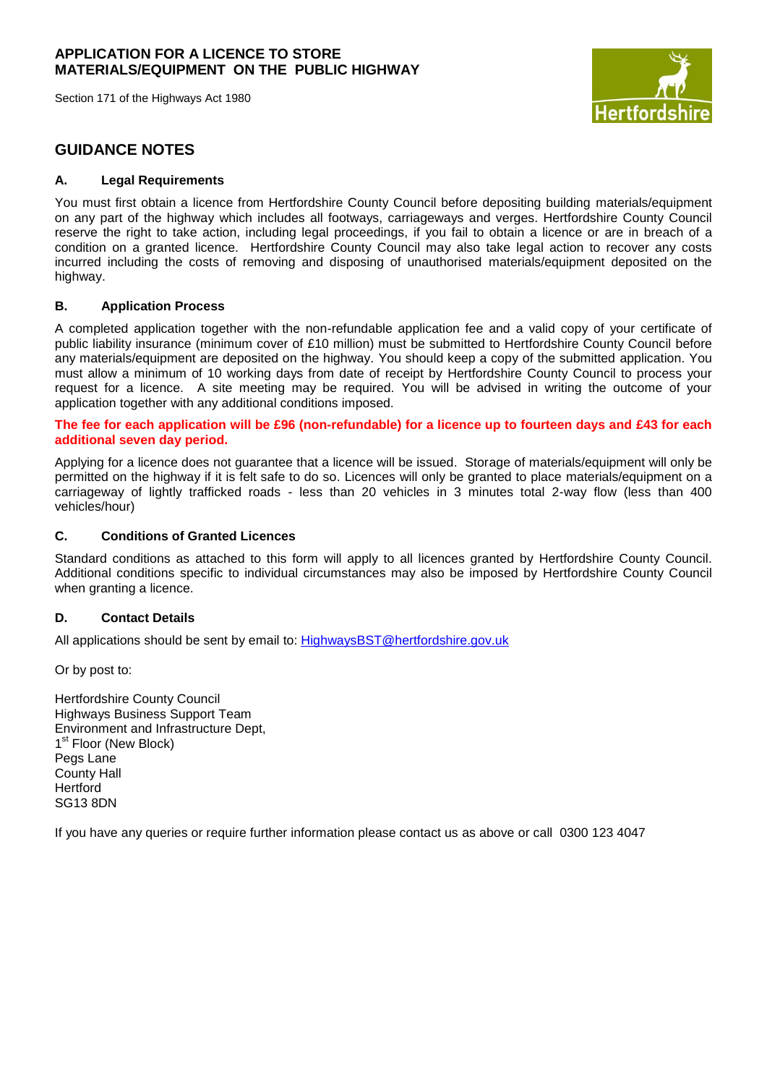Section 171 of the Highways Act 1980



# **GUIDANCE NOTES**

## **A. Legal Requirements**

You must first obtain a licence from Hertfordshire County Council before depositing building materials/equipment on any part of the highway which includes all footways, carriageways and verges. Hertfordshire County Council reserve the right to take action, including legal proceedings, if you fail to obtain a licence or are in breach of a condition on a granted licence. Hertfordshire County Council may also take legal action to recover any costs incurred including the costs of removing and disposing of unauthorised materials/equipment deposited on the highway.

### **B. Application Process**

A completed application together with the non-refundable application fee and a valid copy of your certificate of public liability insurance (minimum cover of £10 million) must be submitted to Hertfordshire County Council before any materials/equipment are deposited on the highway. You should keep a copy of the submitted application. You must allow a minimum of 10 working days from date of receipt by Hertfordshire County Council to process your request for a licence. A site meeting may be required. You will be advised in writing the outcome of your application together with any additional conditions imposed.

**The fee for each application will be £96 (non-refundable) for a licence up to fourteen days and £43 for each additional seven day period.**

Applying for a licence does not guarantee that a licence will be issued. Storage of materials/equipment will only be permitted on the highway if it is felt safe to do so. Licences will only be granted to place materials/equipment on a carriageway of lightly trafficked roads - less than 20 vehicles in 3 minutes total 2-way flow (less than 400 vehicles/hour)

### **C. Conditions of Granted Licences**

Standard conditions as attached to this form will apply to all licences granted by Hertfordshire County Council. Additional conditions specific to individual circumstances may also be imposed by Hertfordshire County Council when granting a licence.

## **D. Contact Details**

All applications should be sent by email to: [HighwaysBST@hertfordshire.gov.uk](mailto:HighwaysBST@hertfordshire.gov.uk)

Or by post to:

Hertfordshire County Council Highways Business Support Team Environment and Infrastructure Dept, 1<sup>st</sup> Floor (New Block) Pegs Lane County Hall **Hertford** SG13 8DN

If you have any queries or require further information please contact us as above or call 0300 123 4047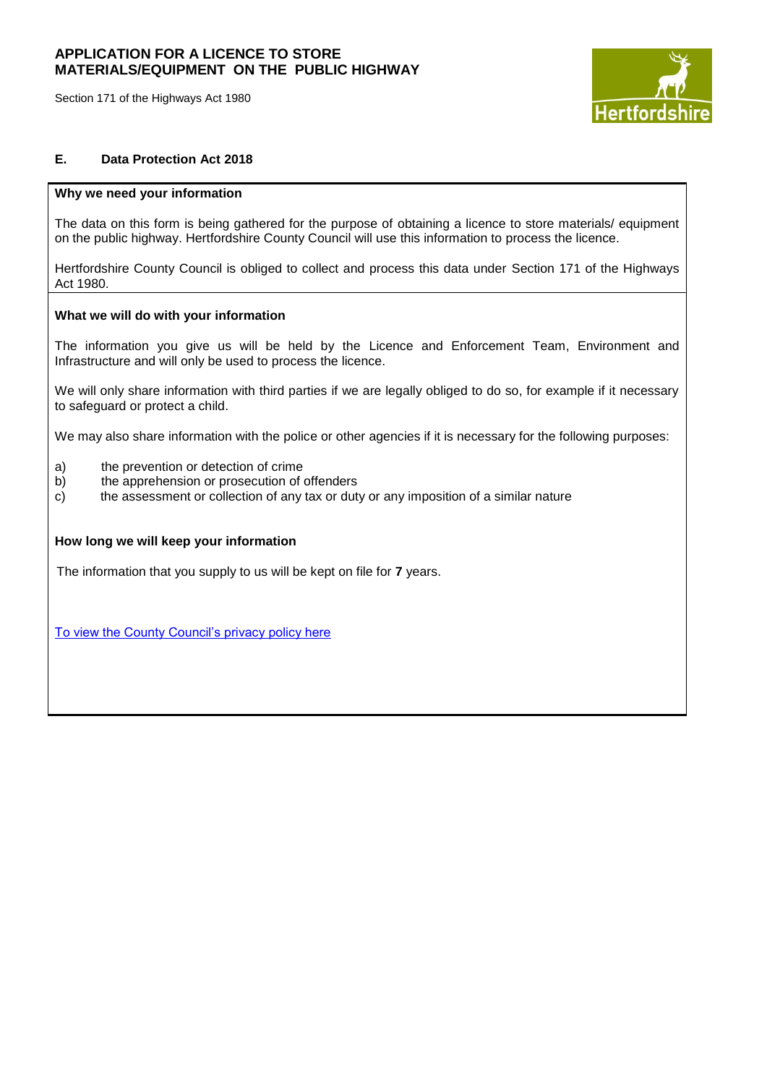Section 171 of the Highways Act 1980



## **E. Data Protection Act 2018**

### **Why we need your information**

The data on this form is being gathered for the purpose of obtaining a licence to store materials/ equipment on the public highway. Hertfordshire County Council will use this information to process the licence.

Hertfordshire County Council is obliged to collect and process this data under Section 171 of the Highways Act 1980.

### **What we will do with your information**

The information you give us will be held by the Licence and Enforcement Team, Environment and Infrastructure and will only be used to process the licence.

We will only share information with third parties if we are legally obliged to do so, for example if it necessary to safeguard or protect a child.

We may also share information with the police or other agencies if it is necessary for the following purposes:

- a) the prevention or detection of crime
- b) the apprehension or prosecution of offenders
- c) the assessment or collection of any tax or duty or any imposition of a similar nature

### **How long we will keep your information**

The information that you supply to us will be kept on file for **7** years.

[To view the County Council's privacy policy here](https://www.hertfordshire.gov.uk/About-the-council/Legal/Legal.aspx)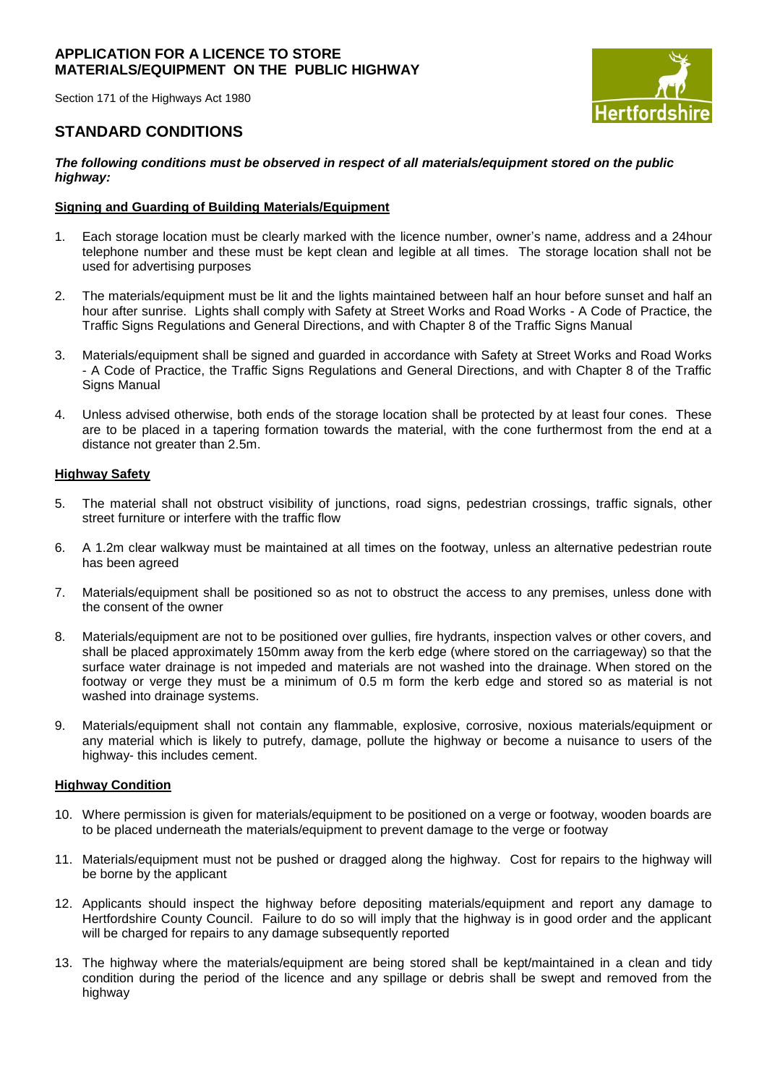Section 171 of the Highways Act 1980

# **Hertfords**

# **STANDARD CONDITIONS**

### *The following conditions must be observed in respect of all materials/equipment stored on the public highway:*

## **Signing and Guarding of Building Materials/Equipment**

- 1. Each storage location must be clearly marked with the licence number, owner's name, address and a 24hour telephone number and these must be kept clean and legible at all times. The storage location shall not be used for advertising purposes
- 2. The materials/equipment must be lit and the lights maintained between half an hour before sunset and half an hour after sunrise. Lights shall comply with Safety at Street Works and Road Works - A Code of Practice, the Traffic Signs Regulations and General Directions, and with Chapter 8 of the Traffic Signs Manual
- 3. Materials/equipment shall be signed and guarded in accordance with Safety at Street Works and Road Works - A Code of Practice, the Traffic Signs Regulations and General Directions, and with Chapter 8 of the Traffic Signs Manual
- 4. Unless advised otherwise, both ends of the storage location shall be protected by at least four cones. These are to be placed in a tapering formation towards the material, with the cone furthermost from the end at a distance not greater than 2.5m.

## **Highway Safety**

- 5. The material shall not obstruct visibility of junctions, road signs, pedestrian crossings, traffic signals, other street furniture or interfere with the traffic flow
- 6. A 1.2m clear walkway must be maintained at all times on the footway, unless an alternative pedestrian route has been agreed
- 7. Materials/equipment shall be positioned so as not to obstruct the access to any premises, unless done with the consent of the owner
- 8. Materials/equipment are not to be positioned over gullies, fire hydrants, inspection valves or other covers, and shall be placed approximately 150mm away from the kerb edge (where stored on the carriageway) so that the surface water drainage is not impeded and materials are not washed into the drainage. When stored on the footway or verge they must be a minimum of 0.5 m form the kerb edge and stored so as material is not washed into drainage systems.
- 9. Materials/equipment shall not contain any flammable, explosive, corrosive, noxious materials/equipment or any material which is likely to putrefy, damage, pollute the highway or become a nuisance to users of the highway- this includes cement.

## **Highway Condition**

- 10. Where permission is given for materials/equipment to be positioned on a verge or footway, wooden boards are to be placed underneath the materials/equipment to prevent damage to the verge or footway
- 11. Materials/equipment must not be pushed or dragged along the highway. Cost for repairs to the highway will be borne by the applicant
- 12. Applicants should inspect the highway before depositing materials/equipment and report any damage to Hertfordshire County Council. Failure to do so will imply that the highway is in good order and the applicant will be charged for repairs to any damage subsequently reported
- 13. The highway where the materials/equipment are being stored shall be kept/maintained in a clean and tidy condition during the period of the licence and any spillage or debris shall be swept and removed from the highway